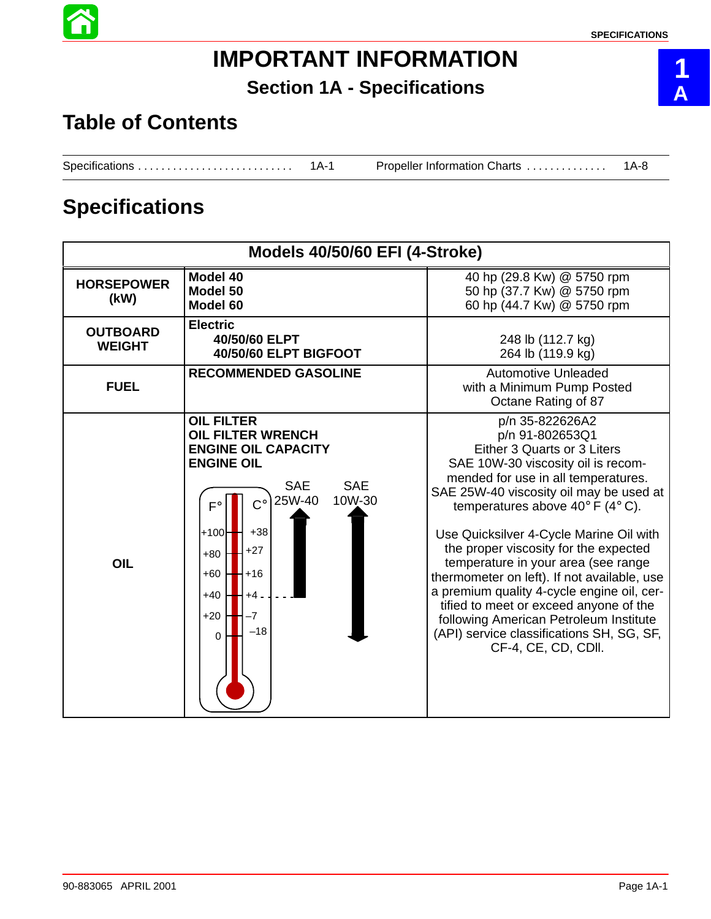# **IMPORTANT INFORMATION**

### **Section 1A - Specifications**

### **Table of Contents**

Specifications 1A-1 . . . . . . . . . . . . . . . . . . . . . . . . . . . Propeller Information Charts 1A-8 . . . . . . . . . . . . . .

### **Specifications**

| <b>Models 40/50/60 EFI (4-Stroke)</b> |                                                                                                                                                                                                                                                                                                               |                                                                                                                                                                                                                                                                                                                                                                                                                                                                                                                                                                                                                                 |  |  |  |  |
|---------------------------------------|---------------------------------------------------------------------------------------------------------------------------------------------------------------------------------------------------------------------------------------------------------------------------------------------------------------|---------------------------------------------------------------------------------------------------------------------------------------------------------------------------------------------------------------------------------------------------------------------------------------------------------------------------------------------------------------------------------------------------------------------------------------------------------------------------------------------------------------------------------------------------------------------------------------------------------------------------------|--|--|--|--|
| <b>HORSEPOWER</b><br>(kW)             | Model 40<br>Model 50<br>Model 60                                                                                                                                                                                                                                                                              | 40 hp (29.8 Kw) @ 5750 rpm<br>50 hp (37.7 Kw) @ 5750 rpm<br>60 hp (44.7 Kw) @ 5750 rpm                                                                                                                                                                                                                                                                                                                                                                                                                                                                                                                                          |  |  |  |  |
| <b>OUTBOARD</b><br><b>WEIGHT</b>      | <b>Electric</b><br>40/50/60 ELPT<br>40/50/60 ELPT BIGFOOT                                                                                                                                                                                                                                                     | 248 lb (112.7 kg)<br>264 lb (119.9 kg)                                                                                                                                                                                                                                                                                                                                                                                                                                                                                                                                                                                          |  |  |  |  |
| <b>FUEL</b>                           | <b>RECOMMENDED GASOLINE</b>                                                                                                                                                                                                                                                                                   | <b>Automotive Unleaded</b><br>with a Minimum Pump Posted<br>Octane Rating of 87                                                                                                                                                                                                                                                                                                                                                                                                                                                                                                                                                 |  |  |  |  |
| <b>OIL</b>                            | <b>OIL FILTER</b><br><b>OIL FILTER WRENCH</b><br><b>ENGINE OIL CAPACITY</b><br><b>ENGINE OIL</b><br><b>SAE</b><br><b>SAE</b><br>25W-40<br>10W-30<br>$\mathcal{C}^{\circ}$<br>$F^{\circ}$<br>$+38$<br>$+100$<br>$+27$<br>$+80$<br>$+16$<br>$+60$<br>н<br>$+40$<br>$+4$ .<br>$+20$<br>$-7$<br>$-18$<br>$\Omega$ | p/n 35-822626A2<br>p/n 91-802653Q1<br>Either 3 Quarts or 3 Liters<br>SAE 10W-30 viscosity oil is recom-<br>mended for use in all temperatures.<br>SAE 25W-40 viscosity oil may be used at<br>temperatures above 40 $\degree$ F (4 $\degree$ C).<br>Use Quicksilver 4-Cycle Marine Oil with<br>the proper viscosity for the expected<br>temperature in your area (see range<br>thermometer on left). If not available, use<br>a premium quality 4-cycle engine oil, cer-<br>tified to meet or exceed anyone of the<br>following American Petroleum Institute<br>(API) service classifications SH, SG, SF,<br>CF-4, CE, CD, CDII. |  |  |  |  |



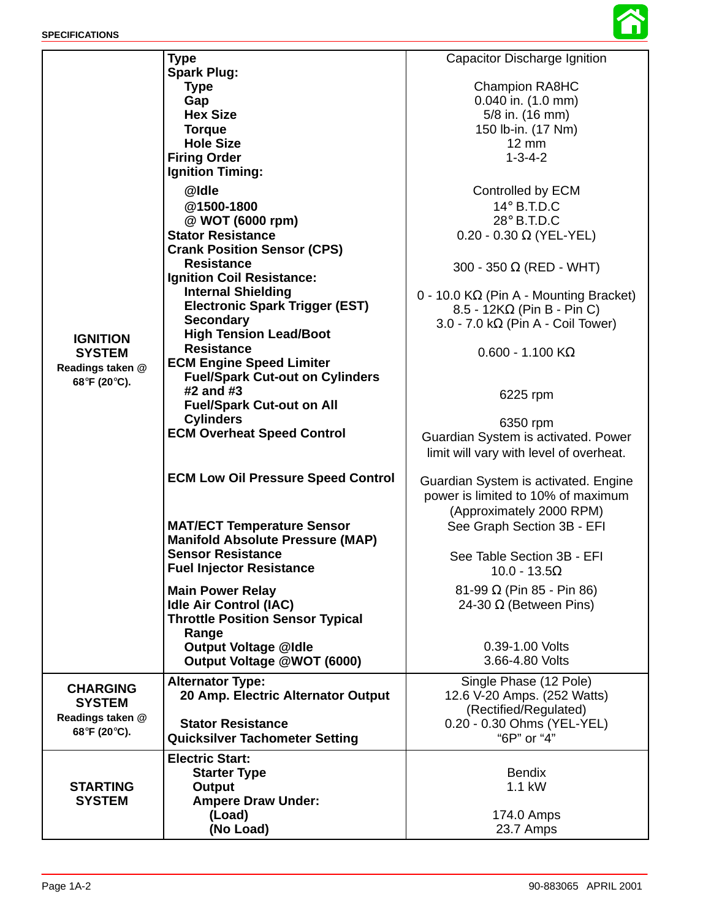

|                  | Type                                                                     | <b>Capacitor Discharge Ignition</b>                                                |  |  |
|------------------|--------------------------------------------------------------------------|------------------------------------------------------------------------------------|--|--|
|                  | <b>Spark Plug:</b>                                                       |                                                                                    |  |  |
|                  | <b>Type</b>                                                              | <b>Champion RA8HC</b>                                                              |  |  |
|                  | Gap                                                                      | $0.040$ in. $(1.0$ mm)                                                             |  |  |
|                  | <b>Hex Size</b>                                                          | 5/8 in. (16 mm)                                                                    |  |  |
|                  | <b>Torque</b>                                                            | 150 lb-in. (17 Nm)                                                                 |  |  |
|                  | <b>Hole Size</b>                                                         | $12 \text{ mm}$                                                                    |  |  |
|                  | <b>Firing Order</b>                                                      | $1 - 3 - 4 - 2$                                                                    |  |  |
|                  | <b>Ignition Timing:</b>                                                  |                                                                                    |  |  |
|                  | @Idle                                                                    | Controlled by ECM                                                                  |  |  |
|                  | @1500-1800                                                               | $14^\circ$ B.T.D.C                                                                 |  |  |
|                  | @ WOT (6000 rpm)                                                         | 28° B.T.D.C                                                                        |  |  |
|                  | <b>Stator Resistance</b>                                                 | $0.20 - 0.30 \Omega$ (YEL-YEL)                                                     |  |  |
|                  | <b>Crank Position Sensor (CPS)</b>                                       |                                                                                    |  |  |
|                  | <b>Resistance</b>                                                        |                                                                                    |  |  |
|                  | <b>Ignition Coil Resistance:</b>                                         | 300 - 350 $\Omega$ (RED - WHT)                                                     |  |  |
|                  | <b>Internal Shielding</b>                                                |                                                                                    |  |  |
|                  | <b>Electronic Spark Trigger (EST)</b>                                    | $0 - 10.0 K\Omega$ (Pin A - Mounting Bracket)<br>$8.5 - 12K\Omega$ (Pin B - Pin C) |  |  |
|                  | <b>Secondary</b>                                                         | 3.0 - 7.0 k $\Omega$ (Pin A - Coil Tower)                                          |  |  |
| <b>IGNITION</b>  | <b>High Tension Lead/Boot</b>                                            |                                                                                    |  |  |
| <b>SYSTEM</b>    | <b>Resistance</b>                                                        | $0.600 - 1.100$ K $\Omega$                                                         |  |  |
| Readings taken @ | <b>ECM Engine Speed Limiter</b>                                          |                                                                                    |  |  |
| 68°F (20°C).     | <b>Fuel/Spark Cut-out on Cylinders</b>                                   |                                                                                    |  |  |
|                  | $#2$ and $#3$                                                            | 6225 rpm                                                                           |  |  |
|                  | <b>Fuel/Spark Cut-out on All</b>                                         |                                                                                    |  |  |
|                  | <b>Cylinders</b>                                                         | 6350 rpm                                                                           |  |  |
|                  | <b>ECM Overheat Speed Control</b>                                        | Guardian System is activated. Power                                                |  |  |
|                  |                                                                          | limit will vary with level of overheat.                                            |  |  |
|                  |                                                                          |                                                                                    |  |  |
|                  | <b>ECM Low Oil Pressure Speed Control</b>                                | Guardian System is activated. Engine                                               |  |  |
|                  |                                                                          | power is limited to 10% of maximum                                                 |  |  |
|                  |                                                                          | (Approximately 2000 RPM)                                                           |  |  |
|                  | <b>MAT/ECT Temperature Sensor</b>                                        | See Graph Section 3B - EFI                                                         |  |  |
|                  | <b>Manifold Absolute Pressure (MAP)</b>                                  |                                                                                    |  |  |
|                  | <b>Sensor Resistance</b>                                                 | See Table Section 3B - EFI                                                         |  |  |
|                  | <b>Fuel Injector Resistance</b>                                          | 10.0 - 13.5 $\Omega$                                                               |  |  |
|                  |                                                                          |                                                                                    |  |  |
|                  | <b>Main Power Relay</b>                                                  | 81-99 $\Omega$ (Pin 85 - Pin 86)                                                   |  |  |
|                  | <b>Idle Air Control (IAC)</b><br><b>Throttle Position Sensor Typical</b> | 24-30 $\Omega$ (Between Pins)                                                      |  |  |
|                  | Range                                                                    |                                                                                    |  |  |
|                  | <b>Output Voltage @Idle</b>                                              | 0.39-1.00 Volts                                                                    |  |  |
|                  | Output Voltage @WOT (6000)                                               | 3.66-4.80 Volts                                                                    |  |  |
|                  |                                                                          |                                                                                    |  |  |
| <b>CHARGING</b>  | <b>Alternator Type:</b>                                                  | Single Phase (12 Pole)                                                             |  |  |
| <b>SYSTEM</b>    | 20 Amp. Electric Alternator Output                                       | 12.6 V-20 Amps. (252 Watts)                                                        |  |  |
| Readings taken @ | <b>Stator Resistance</b>                                                 | (Rectified/Regulated)<br>0.20 - 0.30 Ohms (YEL-YEL)                                |  |  |
| 68°F (20°C).     | <b>Quicksilver Tachometer Setting</b>                                    | "6P" or "4"                                                                        |  |  |
|                  |                                                                          |                                                                                    |  |  |
|                  | <b>Electric Start:</b>                                                   |                                                                                    |  |  |
|                  | <b>Starter Type</b>                                                      | <b>Bendix</b>                                                                      |  |  |
| <b>STARTING</b>  | <b>Output</b>                                                            | 1.1 kW                                                                             |  |  |
| <b>SYSTEM</b>    | <b>Ampere Draw Under:</b>                                                |                                                                                    |  |  |
|                  | (Load)                                                                   | 174.0 Amps                                                                         |  |  |
|                  | (No Load)                                                                | 23.7 Amps                                                                          |  |  |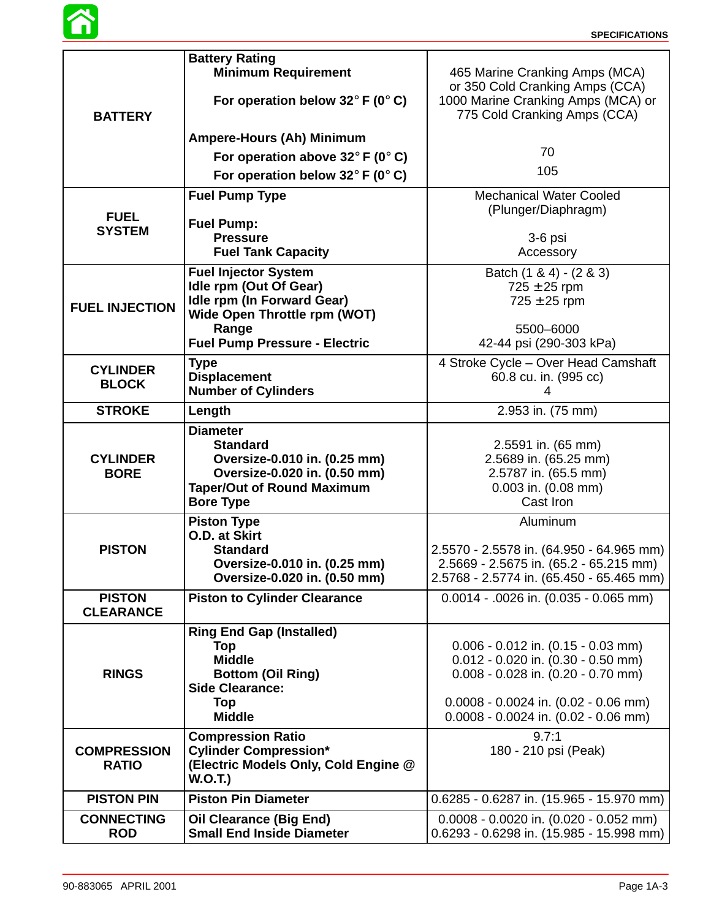

|                                    | <b>Battery Rating</b><br><b>Minimum Requirement</b>                                                                                                         | 465 Marine Cranking Amps (MCA)<br>or 350 Cold Cranking Amps (CCA)                                                                                                                                                  |  |  |
|------------------------------------|-------------------------------------------------------------------------------------------------------------------------------------------------------------|--------------------------------------------------------------------------------------------------------------------------------------------------------------------------------------------------------------------|--|--|
| <b>BATTERY</b>                     | For operation below 32 $\degree$ F (0 $\degree$ C)                                                                                                          | 1000 Marine Cranking Amps (MCA) or<br>775 Cold Cranking Amps (CCA)                                                                                                                                                 |  |  |
|                                    | <b>Ampere-Hours (Ah) Minimum</b>                                                                                                                            |                                                                                                                                                                                                                    |  |  |
|                                    | For operation above 32 $\degree$ F (0 $\degree$ C)                                                                                                          | 70                                                                                                                                                                                                                 |  |  |
|                                    | For operation below $32^{\circ}$ F (0° C)                                                                                                                   | 105                                                                                                                                                                                                                |  |  |
| <b>FUEL</b>                        | <b>Fuel Pump Type</b>                                                                                                                                       | <b>Mechanical Water Cooled</b><br>(Plunger/Diaphragm)                                                                                                                                                              |  |  |
| <b>SYSTEM</b>                      | <b>Fuel Pump:</b><br><b>Pressure</b><br><b>Fuel Tank Capacity</b>                                                                                           | 3-6 psi<br>Accessory                                                                                                                                                                                               |  |  |
| <b>FUEL INJECTION</b>              | <b>Fuel Injector System</b><br>Idle rpm (Out Of Gear)<br>Idle rpm (In Forward Gear)<br>Wide Open Throttle rpm (WOT)                                         | Batch (1 & 4) - (2 & 3)<br>$725 \pm 25$ rpm<br>$725 \pm 25$ rpm                                                                                                                                                    |  |  |
|                                    | Range<br><b>Fuel Pump Pressure - Electric</b>                                                                                                               | 5500-6000<br>42-44 psi (290-303 kPa)                                                                                                                                                                               |  |  |
| <b>CYLINDER</b><br><b>BLOCK</b>    | <b>Type</b><br><b>Displacement</b><br><b>Number of Cylinders</b>                                                                                            | 4 Stroke Cycle - Over Head Camshaft<br>60.8 cu. in. (995 cc)<br>4                                                                                                                                                  |  |  |
| <b>STROKE</b>                      | Length                                                                                                                                                      | 2.953 in. (75 mm)                                                                                                                                                                                                  |  |  |
| <b>CYLINDER</b><br><b>BORE</b>     | <b>Diameter</b><br><b>Standard</b><br>Oversize-0.010 in. (0.25 mm)<br>Oversize-0.020 in. (0.50 mm)<br><b>Taper/Out of Round Maximum</b><br><b>Bore Type</b> | 2.5591 in. (65 mm)<br>2.5689 in. (65.25 mm)<br>2.5787 in. (65.5 mm)<br>0.003 in. (0.08 mm)<br>Cast Iron                                                                                                            |  |  |
| <b>PISTON</b>                      | <b>Piston Type</b><br>O.D. at Skirt<br><b>Standard</b><br>Oversize-0.010 in. (0.25 mm)<br>Oversize-0.020 in. (0.50 mm)                                      | Aluminum<br>2.5570 - 2.5578 in. (64.950 - 64.965 mm)<br>2.5669 - 2.5675 in. (65.2 - 65.215 mm)<br>2.5768 - 2.5774 in. (65.450 - 65.465 mm)                                                                         |  |  |
| <b>PISTON</b><br><b>CLEARANCE</b>  | <b>Piston to Cylinder Clearance</b>                                                                                                                         | $0.0014 - 0.0026$ in. $(0.035 - 0.065$ mm)                                                                                                                                                                         |  |  |
| <b>RINGS</b>                       | <b>Ring End Gap (Installed)</b><br>Top<br><b>Middle</b><br><b>Bottom (Oil Ring)</b><br><b>Side Clearance:</b><br><b>Top</b><br><b>Middle</b>                | $0.006 - 0.012$ in. $(0.15 - 0.03$ mm)<br>$0.012 - 0.020$ in. $(0.30 - 0.50$ mm)<br>$0.008 - 0.028$ in. $(0.20 - 0.70$ mm)<br>$0.0008 - 0.0024$ in. $(0.02 - 0.06$ mm)<br>$0.0008 - 0.0024$ in. $(0.02 - 0.06$ mm) |  |  |
| <b>COMPRESSION</b><br><b>RATIO</b> | <b>Compression Ratio</b><br><b>Cylinder Compression*</b><br>(Electric Models Only, Cold Engine @<br><b>W.O.T.)</b>                                          | 9.7:1<br>180 - 210 psi (Peak)                                                                                                                                                                                      |  |  |
| <b>PISTON PIN</b>                  | <b>Piston Pin Diameter</b>                                                                                                                                  | $0.6285 - 0.6287$ in. $(15.965 - 15.970$ mm)                                                                                                                                                                       |  |  |
| <b>CONNECTING</b><br><b>ROD</b>    | <b>Oil Clearance (Big End)</b><br><b>Small End Inside Diameter</b>                                                                                          | $0.0008 - 0.0020$ in. $(0.020 - 0.052$ mm)<br>0.6293 - 0.6298 in. (15.985 - 15.998 mm)                                                                                                                             |  |  |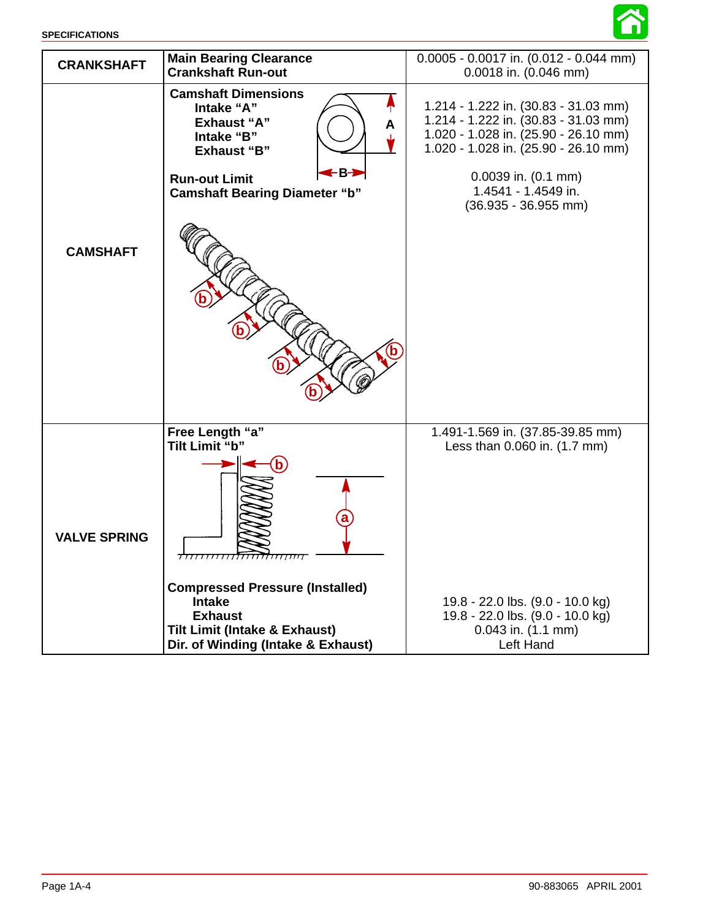

<span id="page-3-0"></span>

| <b>CRANKSHAFT</b>   | <b>Main Bearing Clearance</b><br><b>Crankshaft Run-out</b>                                                                                                                                                                 | $0.0005 - 0.0017$ in. $(0.012 - 0.044$ mm)<br>0.0018 in. (0.046 mm)                                                                                                                                                                      |
|---------------------|----------------------------------------------------------------------------------------------------------------------------------------------------------------------------------------------------------------------------|------------------------------------------------------------------------------------------------------------------------------------------------------------------------------------------------------------------------------------------|
| <b>CAMSHAFT</b>     | <b>Camshaft Dimensions</b><br>Intake "A"<br><b>Exhaust "A"</b><br>A<br>Intake "B"<br><b>Exhaust "B"</b><br>∙в⊣<br><b>Run-out Limit</b><br><b>Camshaft Bearing Diameter "b"</b>                                             | 1.214 - 1.222 in. (30.83 - 31.03 mm)<br>1.214 - 1.222 in. (30.83 - 31.03 mm)<br>1.020 - 1.028 in. (25.90 - 26.10 mm)<br>1.020 - 1.028 in. (25.90 - 26.10 mm)<br>$0.0039$ in. $(0.1$ mm)<br>1.4541 - 1.4549 in.<br>$(36.935 - 36.955$ mm) |
| <b>VALVE SPRING</b> | Free Length "a"<br>Tilt Limit "b"<br><del>,,,,,,,,,,,</del><br><b>Compressed Pressure (Installed)</b><br><b>Intake</b><br><b>Exhaust</b><br><b>Tilt Limit (Intake &amp; Exhaust)</b><br>Dir. of Winding (Intake & Exhaust) | 1.491-1.569 in. (37.85-39.85 mm)<br>Less than 0.060 in. (1.7 mm)<br>19.8 - 22.0 lbs. (9.0 - 10.0 kg)<br>19.8 - 22.0 lbs. (9.0 - 10.0 kg)<br>$0.043$ in. $(1.1$ mm)<br>Left Hand                                                          |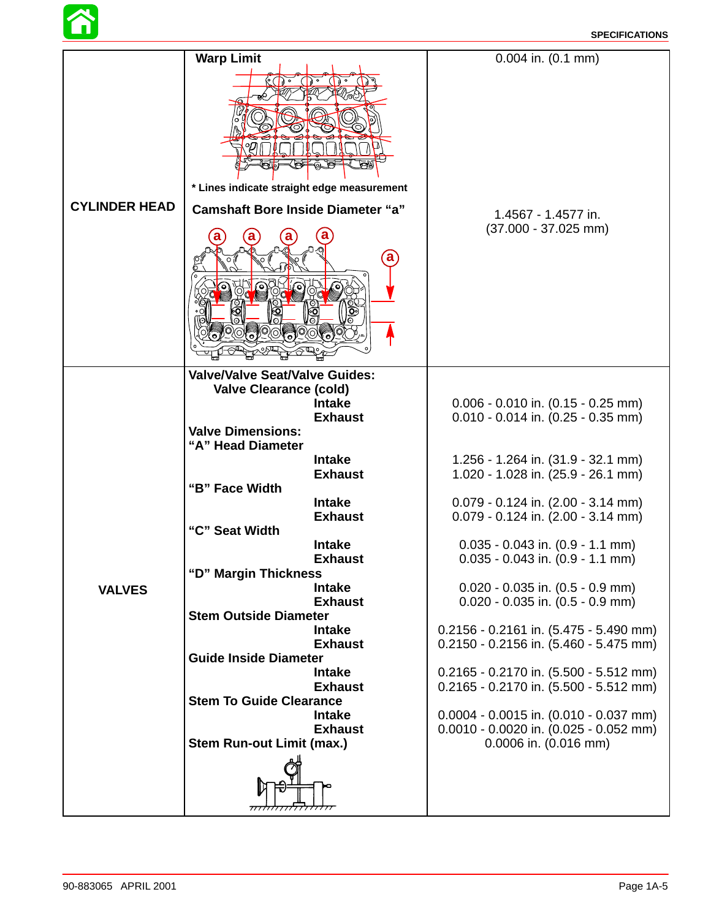

|                      | <b>Warp Limit</b>                                                                            | $0.004$ in. $(0.1$ mm)                                                                   |  |  |
|----------------------|----------------------------------------------------------------------------------------------|------------------------------------------------------------------------------------------|--|--|
|                      | KUL UL<br>$\mathbb{Q}$<br>কাচ⊨<br><b>GFTSFR</b><br><b>FOR</b>                                |                                                                                          |  |  |
|                      | * Lines indicate straight edge measurement                                                   |                                                                                          |  |  |
| <b>CYLINDER HEAD</b> | <b>Camshaft Bore Inside Diameter "a"</b>                                                     | 1.4567 - 1.4577 in.                                                                      |  |  |
|                      | a<br>$\bigcirc$<br><b>10</b> 6<br><b>ORIQORIQON</b>                                          | $(37.000 - 37.025$ mm)                                                                   |  |  |
|                      | <b>Valve/Valve Seat/Valve Guides:</b>                                                        |                                                                                          |  |  |
|                      | <b>Valve Clearance (cold)</b><br><b>Intake</b><br><b>Exhaust</b><br><b>Valve Dimensions:</b> | $0.006 - 0.010$ in. $(0.15 - 0.25$ mm)<br>$0.010 - 0.014$ in. $(0.25 - 0.35$ mm)         |  |  |
|                      | "A" Head Diameter<br><b>Intake</b>                                                           | 1.256 - 1.264 in. (31.9 - 32.1 mm)                                                       |  |  |
|                      | <b>Exhaust</b>                                                                               | 1.020 - 1.028 in. (25.9 - 26.1 mm)                                                       |  |  |
|                      | "B" Face Width                                                                               |                                                                                          |  |  |
|                      | <b>Intake</b><br><b>Exhaust</b>                                                              | $0.079 - 0.124$ in. (2.00 - 3.14 mm)<br>$0.079 - 0.124$ in. (2.00 - 3.14 mm)             |  |  |
|                      | "C" Seat Width                                                                               |                                                                                          |  |  |
|                      | <b>Intake</b>                                                                                | $0.035 - 0.043$ in. $(0.9 - 1.1$ mm)                                                     |  |  |
|                      | <b>Exhaust</b>                                                                               | $0.035 - 0.043$ in. $(0.9 - 1.1$ mm)                                                     |  |  |
|                      | "D" Margin Thickness<br><b>Intake</b>                                                        |                                                                                          |  |  |
| <b>VALVES</b>        | <b>Exhaust</b>                                                                               | $0.020 - 0.035$ in. $(0.5 - 0.9$ mm)<br>$0.020 - 0.035$ in. $(0.5 - 0.9$ mm)             |  |  |
|                      | <b>Stem Outside Diameter</b>                                                                 |                                                                                          |  |  |
|                      | <b>Intake</b><br><b>Exhaust</b>                                                              | $0.2156 - 0.2161$ in. $(5.475 - 5.490$ mm)<br>0.2150 - 0.2156 in. (5.460 - 5.475 mm)     |  |  |
|                      | <b>Guide Inside Diameter</b>                                                                 |                                                                                          |  |  |
|                      | <b>Intake</b><br><b>Exhaust</b>                                                              | $0.2165 - 0.2170$ in. $(5.500 - 5.512$ mm)<br>$0.2165 - 0.2170$ in. $(5.500 - 5.512$ mm) |  |  |
|                      | <b>Stem To Guide Clearance</b>                                                               |                                                                                          |  |  |
|                      | <b>Intake</b><br><b>Exhaust</b>                                                              | $0.0004 - 0.0015$ in. $(0.010 - 0.037$ mm)<br>$0.0010 - 0.0020$ in. $(0.025 - 0.052$ mm) |  |  |
|                      | Stem Run-out Limit (max.)                                                                    | 0.0006 in. (0.016 mm)                                                                    |  |  |
|                      |                                                                                              |                                                                                          |  |  |
|                      |                                                                                              |                                                                                          |  |  |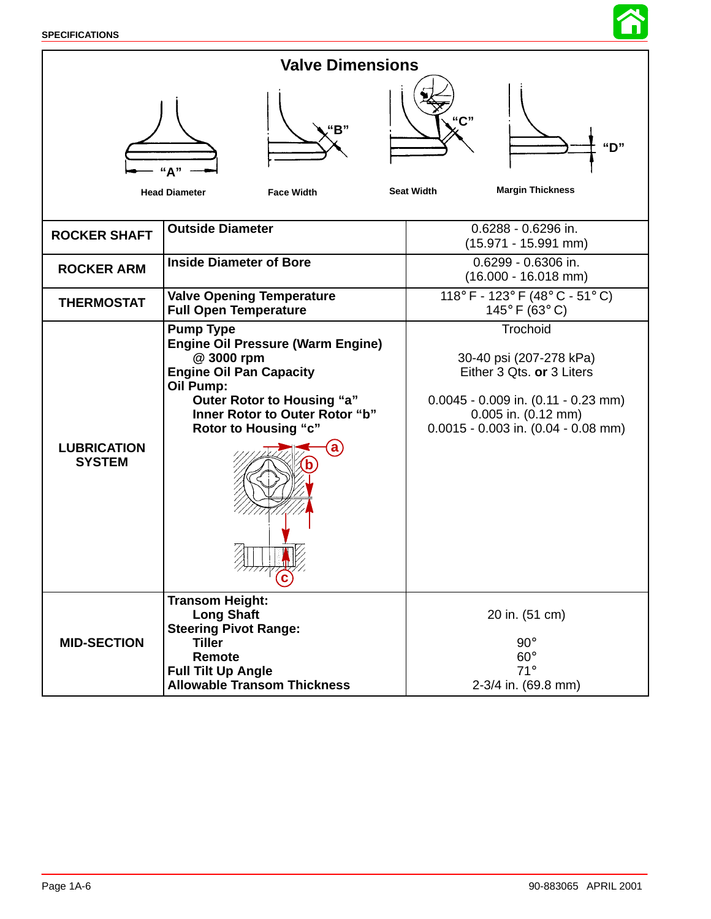

|                                     | <b>Valve Dimensions</b>                                                                                                                                                                                                                                              |                                                                                                                                                                                   |
|-------------------------------------|----------------------------------------------------------------------------------------------------------------------------------------------------------------------------------------------------------------------------------------------------------------------|-----------------------------------------------------------------------------------------------------------------------------------------------------------------------------------|
|                                     | "B"<br><b>Head Diameter</b><br><b>Face Width</b>                                                                                                                                                                                                                     | "C"<br><b>Margin Thickness</b><br><b>Seat Width</b>                                                                                                                               |
| <b>ROCKER SHAFT</b>                 | <b>Outside Diameter</b>                                                                                                                                                                                                                                              | 0.6288 - 0.6296 in.<br>$(15.971 - 15.991$ mm)                                                                                                                                     |
| <b>ROCKER ARM</b>                   | <b>Inside Diameter of Bore</b>                                                                                                                                                                                                                                       | 0.6299 - 0.6306 in.<br>$(16.000 - 16.018$ mm)                                                                                                                                     |
| <b>THERMOSTAT</b>                   | <b>Valve Opening Temperature</b><br><b>Full Open Temperature</b>                                                                                                                                                                                                     | 118° F - 123° F (48° C - 51° C)<br>145 $\degree$ F (63 $\degree$ C)                                                                                                               |
| <b>LUBRICATION</b><br><b>SYSTEM</b> | <b>Pump Type</b><br><b>Engine Oil Pressure (Warm Engine)</b><br>@ 3000 rpm<br><b>Engine Oil Pan Capacity</b><br>Oil Pump:<br>Outer Rotor to Housing "a"<br>Inner Rotor to Outer Rotor "b"<br><b>Rotor to Housing "c"</b><br>a<br><del>אַזיאל</del><br>$(\mathbf{c})$ | Trochoid<br>30-40 psi (207-278 kPa)<br>Either 3 Qts. or 3 Liters<br>$0.0045 - 0.009$ in. $(0.11 - 0.23$ mm)<br>$0.005$ in. $(0.12$ mm)<br>$0.0015 - 0.003$ in. $(0.04 - 0.08$ mm) |
| <b>MID-SECTION</b>                  | <b>Transom Height:</b><br><b>Long Shaft</b><br><b>Steering Pivot Range:</b><br><b>Tiller</b><br>Remote<br><b>Full Tilt Up Angle</b><br><b>Allowable Transom Thickness</b>                                                                                            | 20 in. (51 cm)<br>$90^\circ$<br>$60^\circ$<br>$71^\circ$<br>2-3/4 in. (69.8 mm)                                                                                                   |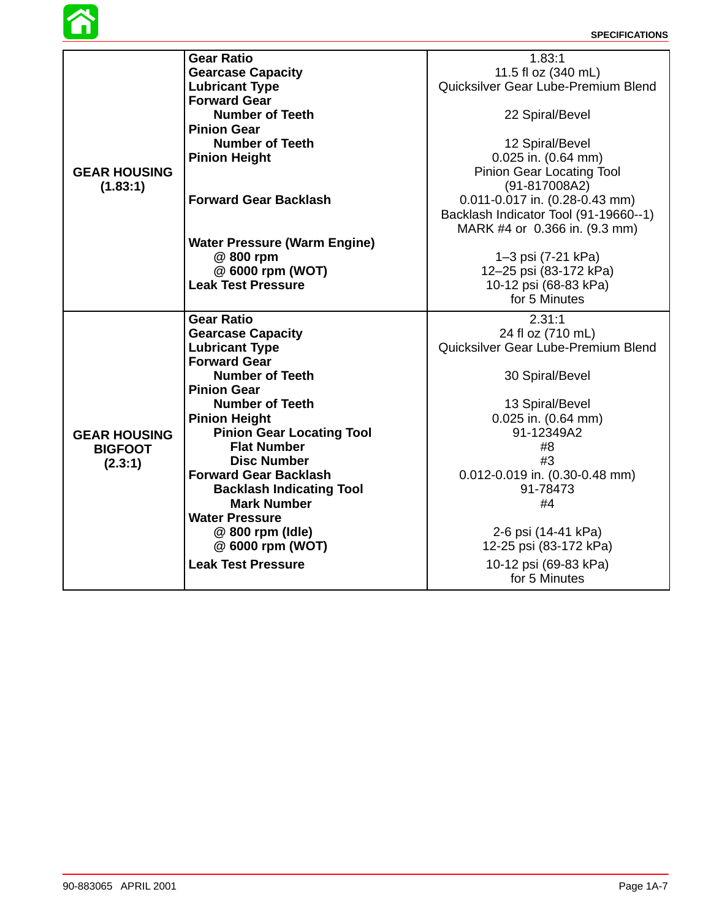**[SPECIFICATIONS](#page-3-0)**



|                     | <b>Gear Ratio</b>                   | 1.83:1                                |
|---------------------|-------------------------------------|---------------------------------------|
|                     | <b>Gearcase Capacity</b>            | 11.5 fl oz (340 mL)                   |
|                     | <b>Lubricant Type</b>               | Quicksilver Gear Lube-Premium Blend   |
|                     | <b>Forward Gear</b>                 |                                       |
|                     | <b>Number of Teeth</b>              | 22 Spiral/Bevel                       |
|                     | <b>Pinion Gear</b>                  |                                       |
|                     | <b>Number of Teeth</b>              | 12 Spiral/Bevel                       |
|                     | <b>Pinion Height</b>                | $0.025$ in. $(0.64$ mm)               |
| <b>GEAR HOUSING</b> |                                     | <b>Pinion Gear Locating Tool</b>      |
| (1.83:1)            |                                     | (91-817008A2)                         |
|                     | <b>Forward Gear Backlash</b>        |                                       |
|                     |                                     | 0.011-0.017 in. (0.28-0.43 mm)        |
|                     |                                     | Backlash Indicator Tool (91-19660--1) |
|                     |                                     | MARK #4 or 0.366 in. (9.3 mm)         |
|                     | <b>Water Pressure (Warm Engine)</b> |                                       |
|                     | @ 800 rpm                           | 1–3 psi (7-21 kPa)                    |
|                     | @ 6000 rpm (WOT)                    | 12-25 psi (83-172 kPa)                |
|                     | <b>Leak Test Pressure</b>           | 10-12 psi (68-83 kPa)                 |
|                     |                                     | for 5 Minutes                         |
|                     | <b>Gear Ratio</b>                   | 2.31:1                                |
|                     | <b>Gearcase Capacity</b>            | 24 fl oz (710 mL)                     |
|                     | <b>Lubricant Type</b>               | Quicksilver Gear Lube-Premium Blend   |
|                     | <b>Forward Gear</b>                 |                                       |
|                     | <b>Number of Teeth</b>              | 30 Spiral/Bevel                       |
|                     |                                     |                                       |
|                     | <b>Pinion Gear</b>                  |                                       |
|                     | <b>Number of Teeth</b>              | 13 Spiral/Bevel                       |
|                     | <b>Pinion Height</b>                | $0.025$ in. $(0.64$ mm)               |
| <b>GEAR HOUSING</b> | <b>Pinion Gear Locating Tool</b>    | 91-12349A2                            |
| <b>BIGFOOT</b>      | <b>Flat Number</b>                  | #8                                    |
| (2.3:1)             | <b>Disc Number</b>                  | #3                                    |
|                     | <b>Forward Gear Backlash</b>        | 0.012-0.019 in. (0.30-0.48 mm)        |
|                     | <b>Backlash Indicating Tool</b>     | 91-78473                              |
|                     | <b>Mark Number</b>                  | #4                                    |
|                     | <b>Water Pressure</b>               |                                       |
|                     | @ 800 rpm (Idle)                    | 2-6 psi (14-41 kPa)                   |
|                     | @ 6000 rpm (WOT)                    | 12-25 psi (83-172 kPa)                |
|                     | <b>Leak Test Pressure</b>           | 10-12 psi (69-83 kPa)                 |
|                     |                                     | for 5 Minutes                         |
|                     |                                     |                                       |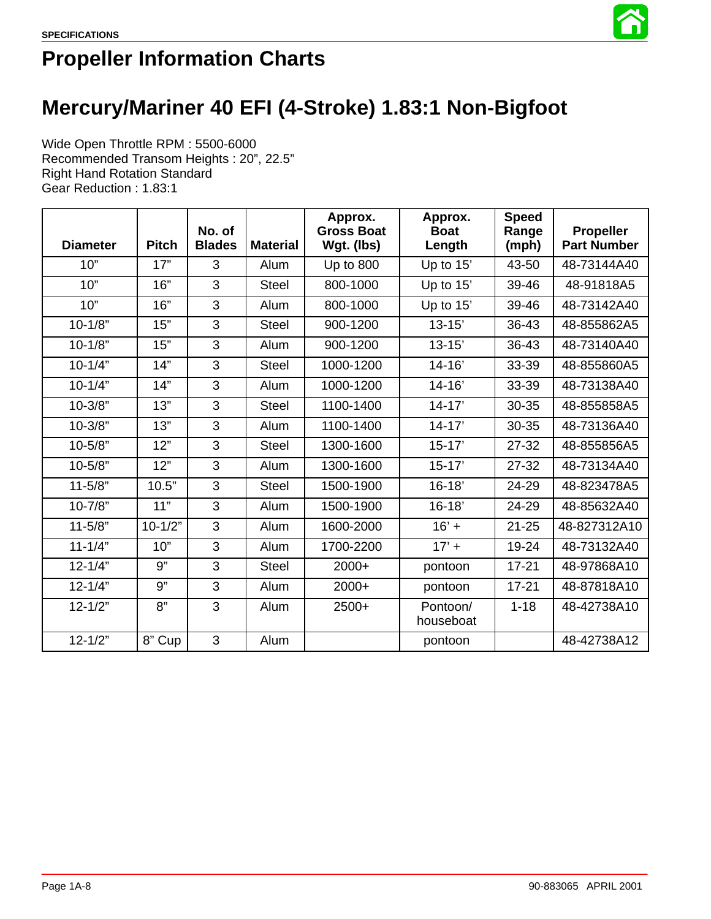

### **Propeller Information Charts**

### **Mercury/Mariner 40 EFI (4-Stroke) 1.83:1 Non-Bigfoot**

Wide Open Throttle RPM : 5500-6000 Recommended Transom Heights : 20", 22.5" Right Hand Rotation Standard Gear Reduction : 1.83:1

| <b>Diameter</b> | <b>Pitch</b> | No. of<br><b>Blades</b> | <b>Material</b> | Approx.<br><b>Gross Boat</b><br>Wgt. (lbs) | Approx.<br><b>Boat</b><br>Length | <b>Speed</b><br>Range<br>(mph) | <b>Propeller</b><br><b>Part Number</b> |
|-----------------|--------------|-------------------------|-----------------|--------------------------------------------|----------------------------------|--------------------------------|----------------------------------------|
| 10"             | 17"          | 3                       | Alum            | Up to 800                                  | Up to 15'                        | 43-50                          | 48-73144A40                            |
| 10"             | 16"          | 3                       | <b>Steel</b>    | 800-1000                                   | Up to 15'                        | 39-46                          | 48-91818A5                             |
| 10"             | 16"          | 3                       | Alum            | 800-1000                                   | Up to 15'                        | 39-46                          | 48-73142A40                            |
| $10 - 1/8"$     | 15"          | 3                       | <b>Steel</b>    | 900-1200                                   | $13 - 15'$                       | 36-43                          | 48-855862A5                            |
| $10 - 1/8"$     | 15"          | 3                       | Alum            | 900-1200                                   | $13 - 15'$                       | 36-43                          | 48-73140A40                            |
| $10 - 1/4"$     | 14"          | 3                       | <b>Steel</b>    | 1000-1200                                  | $14 - 16'$                       | 33-39                          | 48-855860A5                            |
| $10 - 1/4"$     | 14"          | 3                       | Alum            | 1000-1200                                  | $14 - 16'$                       | 33-39                          | 48-73138A40                            |
| $10 - 3/8"$     | 13"          | 3                       | <b>Steel</b>    | 1100-1400                                  | $14 - 17'$                       | 30-35                          | 48-855858A5                            |
| $10 - 3/8"$     | 13"          | 3                       | Alum            | 1100-1400                                  | $14 - 17'$                       | 30-35                          | 48-73136A40                            |
| $10 - 5/8"$     | 12"          | 3                       | <b>Steel</b>    | 1300-1600                                  | $15 - 17'$                       | 27-32                          | 48-855856A5                            |
| $10 - 5/8"$     | 12"          | 3                       | Alum            | 1300-1600                                  | $15 - 17'$                       | 27-32                          | 48-73134A40                            |
| $11 - 5/8"$     | 10.5"        | 3                       | <b>Steel</b>    | 1500-1900                                  | $16 - 18'$                       | 24-29                          | 48-823478A5                            |
| $10 - 7/8"$     | 11"          | 3                       | Alum            | 1500-1900                                  | $16 - 18'$                       | 24-29                          | 48-85632A40                            |
| $11 - 5/8"$     | $10 - 1/2"$  | 3                       | Alum            | 1600-2000                                  | $16' +$                          | $21 - 25$                      | 48-827312A10                           |
| $11 - 1/4"$     | 10"          | 3                       | Alum            | 1700-2200                                  | $17' +$                          | 19-24                          | 48-73132A40                            |
| $12 - 1/4"$     | 9"           | 3                       | <b>Steel</b>    | $2000+$                                    | pontoon                          | $17 - 21$                      | 48-97868A10                            |
| $12 - 1/4"$     | 9"           | 3                       | Alum            | $2000+$                                    | pontoon                          | $17 - 21$                      | 48-87818A10                            |
| $12 - 1/2"$     | 8"           | 3                       | Alum            | $2500+$                                    | Pontoon/<br>houseboat            | $1 - 18$                       | 48-42738A10                            |
| $12 - 1/2"$     | 8" Cup       | 3                       | Alum            |                                            | pontoon                          |                                | 48-42738A12                            |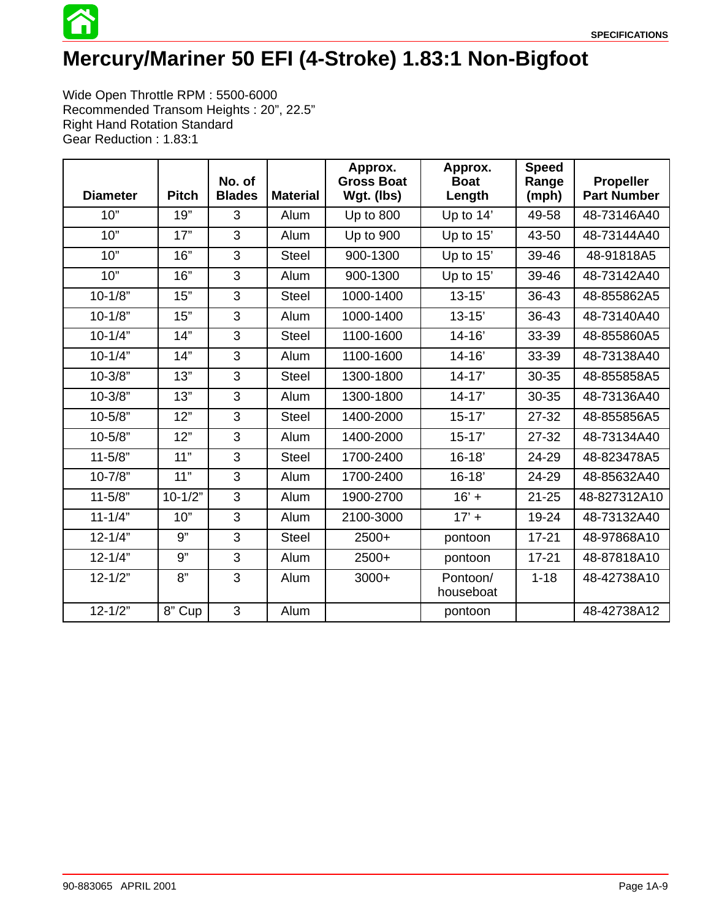

## **Mercury/Mariner 50 EFI (4-Stroke) 1.83:1 Non-Bigfoot**

Wide Open Throttle RPM : 5500-6000 Recommended Transom Heights : 20", 22.5" Right Hand Rotation Standard Gear Reduction : 1.83:1

| <b>Diameter</b> | <b>Pitch</b> | No. of<br><b>Blades</b> | <b>Material</b> | Approx.<br><b>Gross Boat</b><br>Wgt. (lbs) | Approx.<br><b>Boat</b><br>Length | <b>Speed</b><br>Range<br>(mph) | <b>Propeller</b><br><b>Part Number</b> |
|-----------------|--------------|-------------------------|-----------------|--------------------------------------------|----------------------------------|--------------------------------|----------------------------------------|
| 10"             | 19"          | 3                       | Alum            | Up to 800                                  | Up to 14'                        | 49-58                          | 48-73146A40                            |
| 10"             | 17"          | 3                       | Alum            | Up to 900                                  | Up to 15'                        | 43-50                          | 48-73144A40                            |
| 10"             | 16"          | 3                       | <b>Steel</b>    | 900-1300                                   | Up to 15'                        | 39-46                          | 48-91818A5                             |
| 10"             | 16"          | 3                       | Alum            | 900-1300                                   | Up to 15'                        | 39-46                          | 48-73142A40                            |
| $10 - 1/8"$     | 15"          | 3                       | <b>Steel</b>    | 1000-1400                                  | $13 - 15'$                       | 36-43                          | 48-855862A5                            |
| $10 - 1/8"$     | 15"          | 3                       | Alum            | 1000-1400                                  | $13 - 15'$                       | 36-43                          | 48-73140A40                            |
| $10 - 1/4"$     | 14"          | 3                       | <b>Steel</b>    | 1100-1600                                  | $14 - 16'$                       | 33-39                          | 48-855860A5                            |
| $10 - 1/4"$     | 14"          | 3                       | <b>Alum</b>     | 1100-1600                                  | $14 - 16'$                       | 33-39                          | 48-73138A40                            |
| $10 - 3/8"$     | 13"          | 3                       | <b>Steel</b>    | 1300-1800                                  | $14 - 17'$                       | 30-35                          | 48-855858A5                            |
| $10 - 3/8"$     | 13"          | 3                       | Alum            | 1300-1800                                  | $14 - 17'$                       | 30-35                          | 48-73136A40                            |
| $10 - 5/8"$     | 12"          | 3                       | <b>Steel</b>    | 1400-2000                                  | $15 - 17'$                       | $27 - 32$                      | 48-855856A5                            |
| $10 - 5/8"$     | 12"          | 3                       | <b>Alum</b>     | 1400-2000                                  | $15 - 17'$                       | 27-32                          | 48-73134A40                            |
| $11 - 5/8"$     | 11"          | 3                       | <b>Steel</b>    | 1700-2400                                  | $16 - 18'$                       | 24-29                          | 48-823478A5                            |
| $10 - 7/8"$     | 11"          | 3                       | Alum            | 1700-2400                                  | $16 - 18'$                       | 24-29                          | 48-85632A40                            |
| $11 - 5/8"$     | $10 - 1/2"$  | $\overline{3}$          | Alum            | 1900-2700                                  | $16' +$                          | $21 - 25$                      | 48-827312A10                           |
| $11 - 1/4"$     | 10"          | 3                       | Alum            | 2100-3000                                  | $17' +$                          | 19-24                          | 48-73132A40                            |
| $12 - 1/4"$     | 9"           | 3                       | <b>Steel</b>    | 2500+                                      | pontoon                          | $17 - 21$                      | 48-97868A10                            |
| $12 - 1/4"$     | 9"           | 3                       | Alum            | 2500+                                      | pontoon                          | $17 - 21$                      | 48-87818A10                            |
| $12 - 1/2"$     | 8"           | 3                       | Alum            | $3000+$                                    | Pontoon/<br>houseboat            | $1 - 18$                       | 48-42738A10                            |
| $12 - 1/2"$     | 8" Cup       | 3                       | Alum            |                                            | pontoon                          |                                | 48-42738A12                            |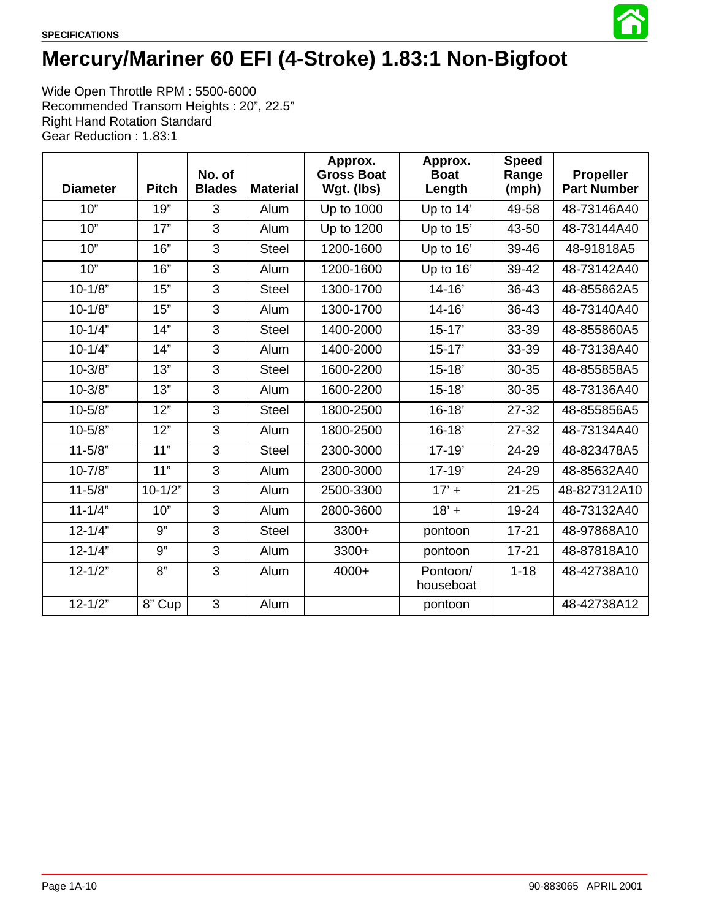

# **Mercury/Mariner 60 EFI (4-Stroke) 1.83:1 Non-Bigfoot**

Wide Open Throttle RPM : 5500-6000 Recommended Transom Heights : 20", 22.5" Right Hand Rotation Standard Gear Reduction : 1.83:1

| <b>Diameter</b> | <b>Pitch</b> | No. of<br><b>Blades</b> | <b>Material</b> | Approx.<br><b>Gross Boat</b><br>Wgt. (lbs) | Approx.<br><b>Boat</b><br>Length | <b>Speed</b><br>Range<br>(mph) | <b>Propeller</b><br><b>Part Number</b> |
|-----------------|--------------|-------------------------|-----------------|--------------------------------------------|----------------------------------|--------------------------------|----------------------------------------|
| 10"             | 19"          | 3                       | Alum            | Up to 1000                                 | Up to 14'                        | 49-58                          | 48-73146A40                            |
| 10"             | 17"          | 3                       | Alum            | Up to 1200                                 | Up to 15'                        | 43-50                          | 48-73144A40                            |
| 10"             | 16"          | 3                       | <b>Steel</b>    | 1200-1600                                  | Up to 16'                        | 39-46                          | 48-91818A5                             |
| 10"             | 16"          | 3                       | Alum            | 1200-1600                                  | Up to 16'                        | 39-42                          | 48-73142A40                            |
| $10 - 1/8"$     | 15"          | 3                       | <b>Steel</b>    | 1300-1700                                  | $14 - 16'$                       | 36-43                          | 48-855862A5                            |
| $10 - 1/8"$     | 15"          | 3                       | Alum            | 1300-1700                                  | $14 - 16'$                       | 36-43                          | 48-73140A40                            |
| $10 - 1/4"$     | 14"          | 3                       | <b>Steel</b>    | 1400-2000                                  | $15 - 17'$                       | 33-39                          | 48-855860A5                            |
| $10 - 1/4"$     | 14"          | 3                       | Alum            | 1400-2000                                  | $15 - 17'$                       | 33-39                          | 48-73138A40                            |
| $10 - 3/8"$     | 13"          | 3                       | <b>Steel</b>    | 1600-2200                                  | $15 - 18'$                       | 30-35                          | 48-855858A5                            |
| $10 - 3/8"$     | 13"          | 3                       | Alum            | 1600-2200                                  | $15 - 18'$                       | 30-35                          | 48-73136A40                            |
| $10 - 5/8"$     | 12"          | 3                       | <b>Steel</b>    | 1800-2500                                  | $16 - 18'$                       | 27-32                          | 48-855856A5                            |
| $10 - 5/8"$     | 12"          | 3                       | Alum            | 1800-2500                                  | $16 - 18'$                       | 27-32                          | 48-73134A40                            |
| $11 - 5/8"$     | 11"          | 3                       | <b>Steel</b>    | 2300-3000                                  | $17 - 19'$                       | 24-29                          | 48-823478A5                            |
| $10 - 7/8"$     | 11"          | 3                       | Alum            | 2300-3000                                  | $17 - 19'$                       | 24-29                          | 48-85632A40                            |
| $11 - 5/8"$     | $10 - 1/2"$  | 3                       | Alum            | 2500-3300                                  | $17' +$                          | $21 - 25$                      | 48-827312A10                           |
| $11 - 1/4"$     | 10"          | 3                       | Alum            | 2800-3600                                  | $18' +$                          | 19-24                          | 48-73132A40                            |
| $12 - 1/4"$     | 9"           | 3                       | <b>Steel</b>    | $3300+$                                    | pontoon                          | $17 - 21$                      | 48-97868A10                            |
| $12 - 1/4"$     | 9"           | 3                       | Alum            | $3300+$                                    | pontoon                          | $17 - 21$                      | 48-87818A10                            |
| $12 - 1/2"$     | 8"           | 3                       | <b>Alum</b>     | 4000+                                      | Pontoon/<br>houseboat            | $1 - 18$                       | 48-42738A10                            |
| $12 - 1/2"$     | 8" Cup       | 3                       | Alum            |                                            | pontoon                          |                                | 48-42738A12                            |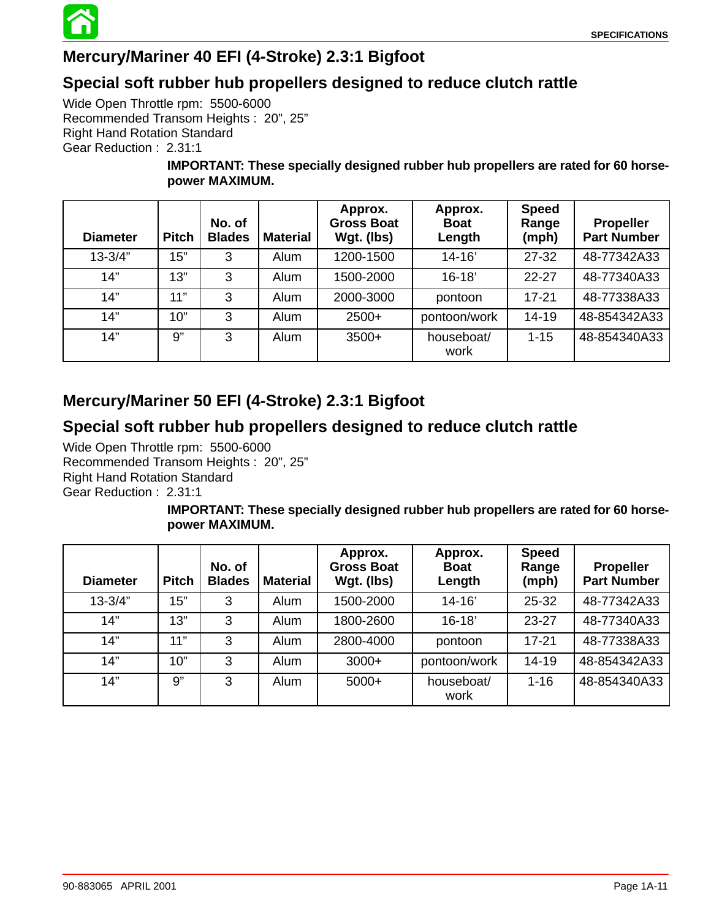

### **Mercury/Mariner 40 EFI (4-Stroke) 2.3:1 Bigfoot**

#### **Special soft rubber hub propellers designed to reduce clutch rattle**

Wide Open Throttle rpm: 5500-6000 Recommended Transom Heights : 20", 25" Right Hand Rotation Standard Gear Reduction : 2.31:1

> **IMPORTANT: These specially designed rubber hub propellers are rated for 60 horsepower MAXIMUM.**

| <b>Diameter</b> | <b>Pitch</b> | No. of<br><b>Blades</b> | <b>Material</b> | Approx.<br><b>Gross Boat</b><br>Wgt. (lbs) | Approx.<br><b>Boat</b><br>Length | <b>Speed</b><br>Range<br>(mph) | <b>Propeller</b><br><b>Part Number</b> |
|-----------------|--------------|-------------------------|-----------------|--------------------------------------------|----------------------------------|--------------------------------|----------------------------------------|
| $13 - 3/4"$     | 15"          | 3                       | Alum            | 1200-1500                                  | $14 - 16'$                       | $27 - 32$                      | 48-77342A33                            |
| 14"             | 13"          | 3                       | Alum            | 1500-2000                                  | $16 - 18'$                       | $22 - 27$                      | 48-77340A33                            |
| 14"             | 11"          | 3                       | Alum            | 2000-3000                                  | pontoon                          | $17 - 21$                      | 48-77338A33                            |
| 14"             | 10"          | 3                       | <b>Alum</b>     | $2500+$                                    | pontoon/work                     | $14 - 19$                      | 48-854342A33                           |
| 14"             | 9"           | 3                       | Alum            | $3500+$                                    | houseboat/<br>work               | $1 - 15$                       | 48-854340A33                           |

#### **Mercury/Mariner 50 EFI (4-Stroke) 2.3:1 Bigfoot**

#### **Special soft rubber hub propellers designed to reduce clutch rattle**

Wide Open Throttle rpm: 5500-6000 Recommended Transom Heights : 20", 25" Right Hand Rotation Standard Gear Reduction : 2.31:1

> **IMPORTANT: These specially designed rubber hub propellers are rated for 60 horsepower MAXIMUM.**

| <b>Diameter</b> | <b>Pitch</b> | No. of<br><b>Blades</b> | <b>Material</b> | Approx.<br><b>Gross Boat</b><br>Wgt. (lbs) | Approx.<br><b>Boat</b><br>Length | <b>Speed</b><br>Range<br>(mph) | <b>Propeller</b><br><b>Part Number</b> |
|-----------------|--------------|-------------------------|-----------------|--------------------------------------------|----------------------------------|--------------------------------|----------------------------------------|
| $13 - 3/4"$     | 15"          | 3                       | Alum            | 1500-2000                                  | $14 - 16'$                       | 25-32                          | 48-77342A33                            |
| 14"             | 13"          | 3                       | Alum            | 1800-2600                                  | $16 - 18'$                       | $23 - 27$                      | 48-77340A33                            |
| 14"             | 11"          | 3                       | Alum            | 2800-4000                                  | pontoon                          | $17 - 21$                      | 48-77338A33                            |
| 14"             | 10"          | 3                       | Alum            | $3000+$                                    | pontoon/work                     | $14 - 19$                      | 48-854342A33                           |
| 14"             | 9"           | 3                       | Alum            | $5000+$                                    | houseboat/<br>work               | $1 - 16$                       | 48-854340A33                           |